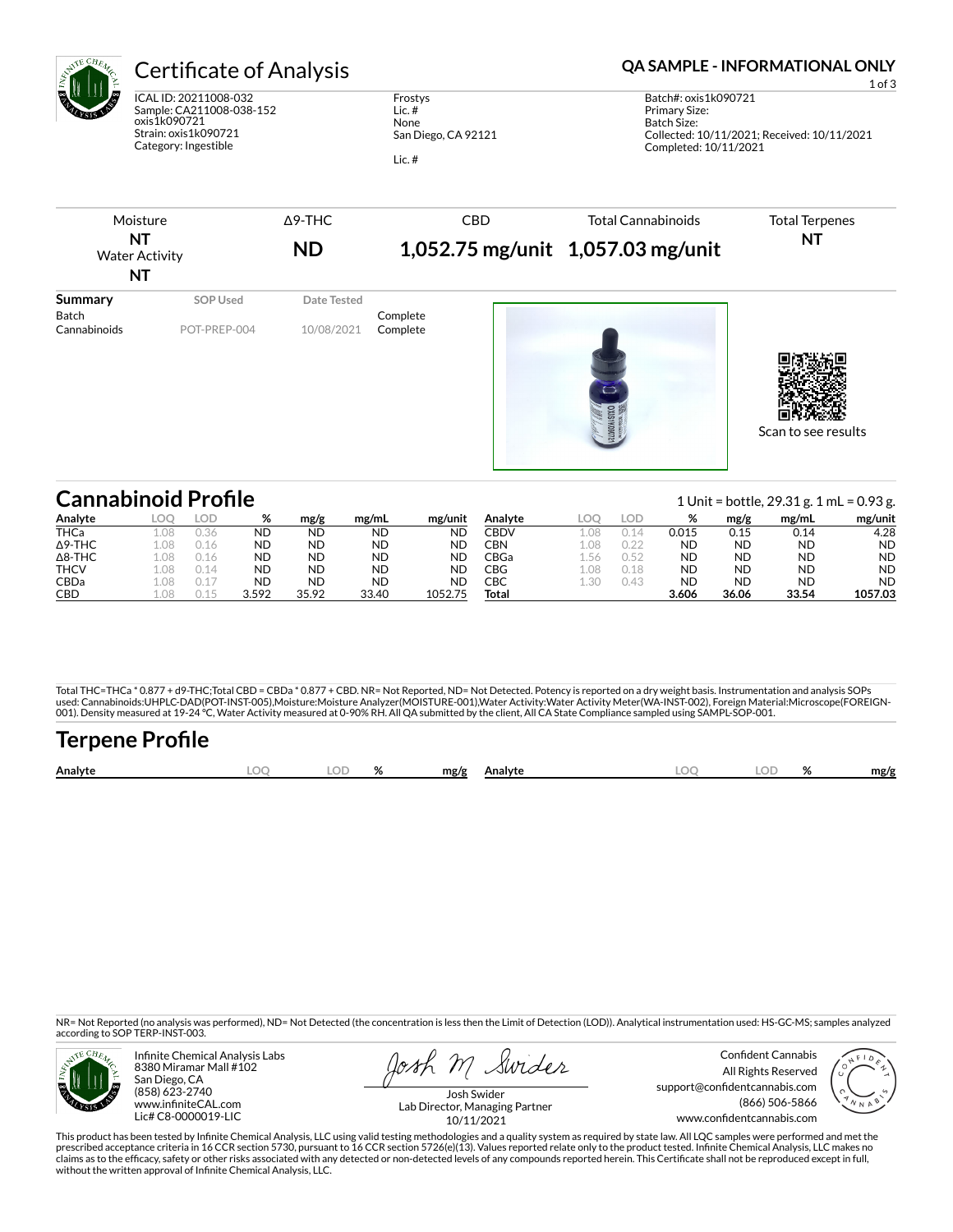

# Certificate of Analysis **Certificate of Analysis QA SAMPLE - INFORMATIONAL ONLY**

ICAL ID: 20211008-032 Sample: CA211008-038-152 oxis1k090721 Strain: oxis1k090721 Category: Ingestible

Frostys Lic. # None San Diego, CA 92121 Lic. #

| Moisture<br>ΝT<br><b>Water Activity</b><br><b>NT</b> |                 | $\Delta$ 9-THC<br><b>ND</b> | <b>CBD</b> | <b>Total Cannabinoids</b><br>1,052.75 mg/unit 1,057.03 mg/unit | <b>Total Terpenes</b><br><b>NT</b> |
|------------------------------------------------------|-----------------|-----------------------------|------------|----------------------------------------------------------------|------------------------------------|
| <b>Summary</b><br>Batch                              | <b>SOP Used</b> | Date Tested                 | Complete   |                                                                |                                    |
| Cannabinoids                                         | POT-PREP-004    | 10/08/2021                  | Complete   | DXIS1K0907                                                     | Scan to see results                |

| <b>Cannabinoid Profile</b> |      |       |           |           |           |           |             |     |      |       |           | 1 Unit = bottle, $29.31$ g. 1 mL = 0.93 g. |           |
|----------------------------|------|-------|-----------|-----------|-----------|-----------|-------------|-----|------|-------|-----------|--------------------------------------------|-----------|
| Analyte                    | LOC  | LOD   | %         | mg/g      | mg/mL     | mg/unit   | Analyte     |     | LOD  | %     | mg/g      | mg/mL                                      | mg/unit   |
| <b>THCa</b>                | 1.08 | 0.36  | <b>ND</b> | <b>ND</b> | <b>ND</b> | ND        | <b>CBDV</b> | .08 |      | 0.015 | 0.15      | 0.14                                       | 4.28      |
| $\Delta$ 9-THC             | 1.08 | ገ 1 6 | ΝD        | <b>ND</b> | <b>ND</b> | <b>ND</b> | CBN         | .08 |      | ND    | <b>ND</b> | <b>ND</b>                                  | <b>ND</b> |
| $\Delta$ 8-THC             | 1.08 | ገ 1 6 | ND        | <b>ND</b> | <b>ND</b> | ND        | CBGa        | .56 | 0.52 | ND    | <b>ND</b> | ND.                                        | <b>ND</b> |
| <b>THCV</b>                | 1.08 |       | ND        | <b>ND</b> | <b>ND</b> | ND        | CBG         | .08 | 0.18 | ND    | <b>ND</b> | ND.                                        | <b>ND</b> |
| <b>CBDa</b>                | LO8  |       | <b>ND</b> | <b>ND</b> | <b>ND</b> | ΝD        | CBC         | .30 | 0.43 | ND    | <b>ND</b> | <b>ND</b>                                  | <b>ND</b> |
| <b>CBD</b>                 |      |       | 3.592     | 35.92     | 33.40     | 1052.75   | Total       |     |      | 3.606 | 36.06     | 33.54                                      | 1057.03   |

Total THC=THCa \* 0.877 + d9-THC;Total CBD = CBDa \* 0.877 + CBD. NR= Not Reported, ND= Not Detected. Potency is reported on a dry weight basis. Instrumentation and analysis SOPs used: Cannabinoids:UHPLC-DAD(POT-INST-005),Moisture:Moisture Analyzer(MOISTURE-001),Water Activity:Water Activity Meter(WA-INST-002), Foreign Material:Microscope(FOREIGN-<br>001). Density measured at 19-24 °C, Water Activity

## **Terpene Profile Analyte LOQ LOD % mg/g Analyte LOQ LOD % mg/g**

NR= Not Reported (no analysis was performed), ND= Not Detected (the concentration is less then the Limit of Detection (LOD)). Analytical instrumentation used: HS-GC-MS; samples analyzed according to SOP TERP-INST-003.



Infinite Chemical Analysis Labs 8380 Miramar Mall #102 San Diego, CA (858) 623-2740 www.infiniteCAL.com Lic# C8-0000019-LIC

Josh M Swider

Confident Cannabis All Rights Reserved support@confidentcannabis.com (866) 506-5866 www.confidentcannabis.com



Josh Swider Lab Director, Managing Partner 10/11/2021

This product has been tested by Infinite Chemical Analysis, LLC using valid testing methodologies and a quality system as required by state law. All LQC samples were performed and met the prescribed acceptance criteria in 16 CCR section 5730, pursuant to 16 CCR section 5726(e)(13). Values reported relate only to the product tested. Infinite Chemical Analysis, LLC makes no<br>claims as to the efficacy, safety o without the written approval of Infinite Chemical Analysis, LLC.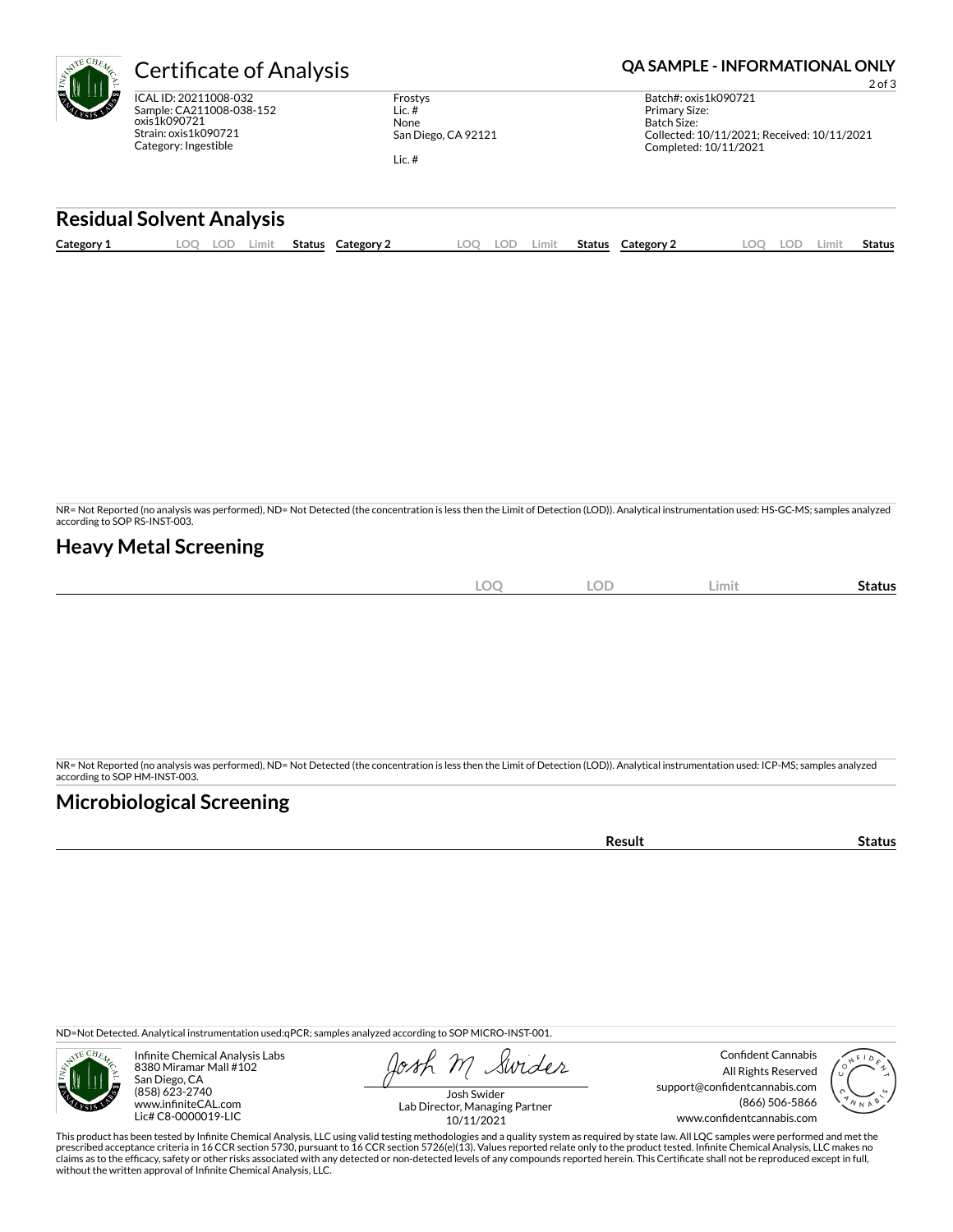| AVTE CHEAT       | er                                  |
|------------------|-------------------------------------|
| <b>MAG</b><br>ï۴ | <b>ICAL II</b><br>Sample<br>oxis 1k |

**RE** Ę

D: 20211008-032 e: CA211008-038-152 oxis1k090721 Strain: oxis1k090721 Category: Ingestible

Frostys Lic. # None San Diego, CA 92121

Lic. #

## **CONTRIGUES Analysis CHA SAMPLE - INFORMATIONAL ONLY**

2 of 3 Batch#: oxis1k090721 Primary Size: Batch Size: Collected: 10/11/2021; Received: 10/11/2021 Completed: 10/11/2021

### **Residual Solvent Analysis**

|  | Category: | ~~<br>J.<br>--- | Limit | Status | Category | OC | LOD | Limit. | Status | Category $\angle$ | $\sim$ | LOD. | Limi | . .<br>Status |
|--|-----------|-----------------|-------|--------|----------|----|-----|--------|--------|-------------------|--------|------|------|---------------|
|--|-----------|-----------------|-------|--------|----------|----|-----|--------|--------|-------------------|--------|------|------|---------------|

NR= Not Reported (no analysis was performed), ND= Not Detected (the concentration is less then the Limit of Detection (LOD)). Analytical instrumentation used: HS-GC-MS; samples analyzed according to SOP RS-INST-003.

### **Heavy Metal Screening**

| $\cap$<br>$\sim$<br>10<br>Limit<br>LU<br>$ \sim$<br>$\sim$<br>$\overline{\phantom{a}}$ | Status |
|----------------------------------------------------------------------------------------|--------|
|----------------------------------------------------------------------------------------|--------|

NR= Not Reported (no analysis was performed), ND= Not Detected (the concentration is less then the Limit of Detection (LOD)). Analytical instrumentation used: ICP-MS; samples analyzed according to SOP HM-INST-003.

## **Microbiological Screening**

**Result Status** 

ND=Not Detected. Analytical instrumentation used:qPCR; samples analyzed according to SOP MICRO-INST-001.



Infinite Chemical Analysis Labs 8380 Miramar Mall #102 San Diego, CA (858) 623-2740 www.infiniteCAL.com Lic# C8-0000019-LIC

Swider

Confident Cannabis All Rights Reserved support@confidentcannabis.com (866) 506-5866 www.confidentcannabis.com



Josh Swider Lab Director, Managing Partner 10/11/2021

This product has been tested by Infinite Chemical Analysis, LLC using valid testing methodologies and a quality system as required by state law. All LQC samples were performed and met the prescribed acceptance criteria in 16 CCR section 5730, pursuant to 16 CCR section 5726(e)(13). Values reported relate only to the product tested. Infinite Chemical Analysis, LLC makes no<br>claims as to the efficacy, safety o without the written approval of Infinite Chemical Analysis, LLC.